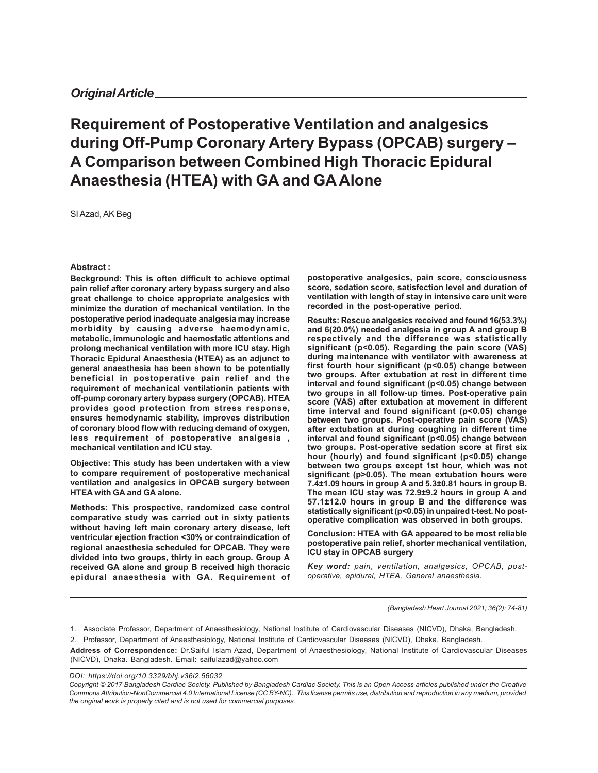# **Requirement of Postoperative Ventilation and analgesics during Off-Pump Coronary Artery Bypass (OPCAB) surgery – A Comparison between Combined High Thoracic Epidural Anaesthesia (HTEA) with GA and GA Alone**

SI Azad, AK Beg

#### **Abstract :**

**Beckground: This is often difficult to achieve optimal pain relief after coronary artery bypass surgery and also great challenge to choice appropriate analgesics with minimize the duration of mechanical ventilation. In the postoperative period inadequate analgesia may increase morbidity by causing adverse haemodynamic, metabolic, immunologic and haemostatic attentions and prolong mechanical ventilation with more ICU stay. High Thoracic Epidural Anaesthesia (HTEA) as an adjunct to general anaesthesia has been shown to be potentially beneficial in postoperative pain relief and the requirement of mechanical ventilationin patients with off-pump coronary artery bypass surgery (OPCAB). HTEA provides good protection from stress response, ensures hemodynamic stability, improves distribution of coronary blood flow with reducing demand of oxygen, less requirement of postoperative analgesia , mechanical ventilation and ICU stay.**

**Objective: This study has been undertaken with a view to compare requirement of postoperative mechanical ventilation and analgesics in OPCAB surgery between HTEA with GA and GA alone.**

**Methods: This prospective, randomized case control comparative study was carried out in sixty patients without having left main coronary artery disease, left ventricular ejection fraction <30% or contraindication of regional anaesthesia scheduled for OPCAB. They were divided into two groups, thirty in each group. Group A received GA alone and group B received high thoracic epidural anaesthesia with GA. Requirement of** **postoperative analgesics, pain score, consciousness score, sedation score, satisfection level and duration of ventilation with length of stay in intensive care unit were recorded in the post-operative period.**

**Results: Rescue analgesics received and found 16(53.3%) and 6(20.0%) needed analgesia in group A and group B respectively and the difference was statistically significant (p<0.05). Regarding the pain score (VAS) during maintenance with ventilator with awareness at first fourth hour significant (p<0.05) change between two groups. After extubation at rest in different time interval and found significant (p<0.05) change between two groups in all follow-up times. Post-operative pain score (VAS) after extubation at movement in different time interval and found significant (p<0.05) change between two groups. Post-operative pain score (VAS) after extubation at during coughing in different time interval and found significant (p<0.05) change between two groups. Post-operative sedation score at first six hour (hourly) and found significant (p<0.05) change between two groups except 1st hour, which was not significant (p>0.05). The mean extubation hours were 7.4±1.09 hours in group A and 5.3±0.81 hours in group B. The mean ICU stay was 72.9±9.2 hours in group A and 57.1±12.0 hours in group B and the difference was statistically significant (p<0.05) in unpaired t-test. No postoperative complication was observed in both groups.**

**Conclusion: HTEA with GA appeared to be most reliable postoperative pain relief, shorter mechanical ventilation, ICU stay in OPCAB surgery**

*Key word: pain, ventilation, analgesics, OPCAB, postoperative, epidural, HTEA, General anaesthesia.*

*(Bangladesh Heart Journal 2021; 36(2): 74-81)*

2. Professor, Department of Anaesthesiology, National Institute of Cardiovascular Diseases (NICVD), Dhaka, Bangladesh.

**Address of Correspondence:** Dr.Saiful Islam Azad, Department of Anaesthesiology, National Institute of Cardiovascular Diseases (NICVD), Dhaka. Bangladesh. Email: saifulazad@yahoo.com

*DOI: https://doi.org/10.3329/bhj.v36i2.56032*

<sup>1.</sup> Associate Professor, Department of Anaesthesiology, National Institute of Cardiovascular Diseases (NICVD), Dhaka, Bangladesh.

*Copyright © 2017 Bangladesh Cardiac Society. Published by Bangladesh Cardiac Society. This is an Open Access articles published under the Creative Commons Attribution-NonCommercial 4.0 International License (CC BY-NC). This license permits use, distribution and reproduction in any medium, provided the original work is properly cited and is not used for commercial purposes.*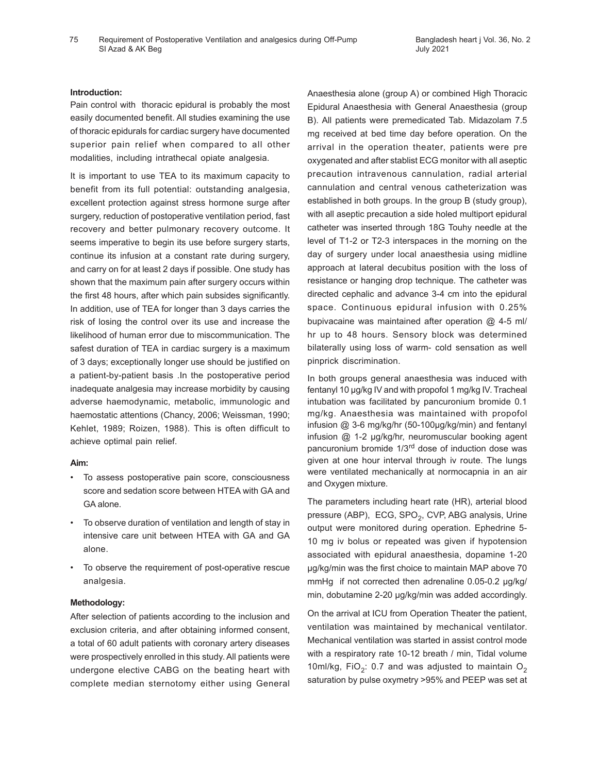### **Introduction:**

Pain control with thoracic epidural is probably the most easily documented benefit. All studies examining the use of thoracic epidurals for cardiac surgery have documented superior pain relief when compared to all other modalities, including intrathecal opiate analgesia.

It is important to use TEA to its maximum capacity to benefit from its full potential: outstanding analgesia, excellent protection against stress hormone surge after surgery, reduction of postoperative ventilation period, fast recovery and better pulmonary recovery outcome. It seems imperative to begin its use before surgery starts, continue its infusion at a constant rate during surgery, and carry on for at least 2 days if possible. One study has shown that the maximum pain after surgery occurs within the first 48 hours, after which pain subsides significantly. In addition, use of TEA for longer than 3 days carries the risk of losing the control over its use and increase the likelihood of human error due to miscommunication. The safest duration of TEA in cardiac surgery is a maximum of 3 days; exceptionally longer use should be justified on a patient-by-patient basis .In the postoperative period inadequate analgesia may increase morbidity by causing adverse haemodynamic, metabolic, immunologic and haemostatic attentions (Chancy, 2006; Weissman, 1990; Kehlet, 1989; Roizen, 1988). This is often difficult to achieve optimal pain relief.

### **Aim:**

- To assess postoperative pain score, consciousness score and sedation score between HTEA with GA and GA alone.
- To observe duration of ventilation and length of stay in intensive care unit between HTEA with GA and GA alone.
- To observe the requirement of post-operative rescue analgesia.

### **Methodology:**

After selection of patients according to the inclusion and exclusion criteria, and after obtaining informed consent, a total of 60 adult patients with coronary artery diseases were prospectively enrolled in this study. All patients were undergone elective CABG on the beating heart with complete median sternotomy either using General Anaesthesia alone (group A) or combined High Thoracic Epidural Anaesthesia with General Anaesthesia (group B). All patients were premedicated Tab. Midazolam 7.5 mg received at bed time day before operation. On the arrival in the operation theater, patients were pre oxygenated and after stablist ECG monitor with all aseptic precaution intravenous cannulation, radial arterial cannulation and central venous catheterization was established in both groups. In the group B (study group), with all aseptic precaution a side holed multiport epidural catheter was inserted through 18G Touhy needle at the level of T1-2 or T2-3 interspaces in the morning on the day of surgery under local anaesthesia using midline approach at lateral decubitus position with the loss of resistance or hanging drop technique. The catheter was directed cephalic and advance 3-4 cm into the epidural space. Continuous epidural infusion with 0.25% bupivacaine was maintained after operation @ 4-5 ml/ hr up to 48 hours. Sensory block was determined bilaterally using loss of warm- cold sensation as well pinprick discrimination.

In both groups general anaesthesia was induced with fentanyl 10 µg/kg IV and with propofol 1 mg/kg IV. Tracheal intubation was facilitated by pancuronium bromide 0.1 mg/kg. Anaesthesia was maintained with propofol infusion @ 3-6 mg/kg/hr (50-100µg/kg/min) and fentanyl infusion @ 1-2 µg/kg/hr, neuromuscular booking agent pancuronium bromide 1/3rd dose of induction dose was given at one hour interval through iv route. The lungs were ventilated mechanically at normocapnia in an air and Oxygen mixture.

The parameters including heart rate (HR), arterial blood pressure (ABP),  $\overline{ECG}$ , SPO<sub>2</sub>, CVP, ABG analysis, Urine output were monitored during operation. Ephedrine 5- 10 mg iv bolus or repeated was given if hypotension associated with epidural anaesthesia, dopamine 1-20 µg/kg/min was the first choice to maintain MAP above 70 mmHg if not corrected then adrenaline 0.05-0.2 µg/kg/ min, dobutamine 2-20 µg/kg/min was added accordingly.

On the arrival at ICU from Operation Theater the patient, ventilation was maintained by mechanical ventilator. Mechanical ventilation was started in assist control mode with a respiratory rate 10-12 breath / min, Tidal volume 10ml/kg,  $FiO_2$ : 0.7 and was adjusted to maintain  $O_2$ saturation by pulse oxymetry >95% and PEEP was set at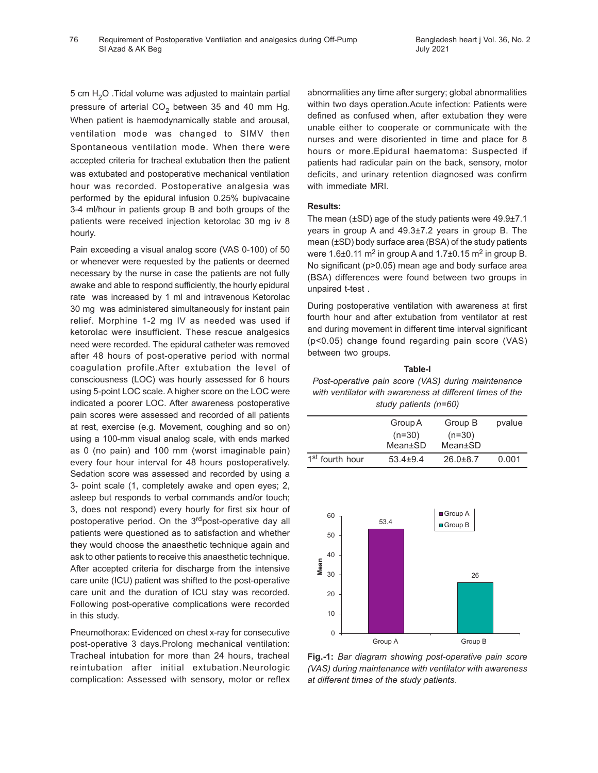5 cm  $H<sub>2</sub>O$  . Tidal volume was adjusted to maintain partial pressure of arterial CO<sub>2</sub> between 35 and 40 mm Hg. When patient is haemodynamically stable and arousal, ventilation mode was changed to SIMV then Spontaneous ventilation mode. When there were accepted criteria for tracheal extubation then the patient was extubated and postoperative mechanical ventilation hour was recorded. Postoperative analgesia was performed by the epidural infusion 0.25% bupivacaine 3-4 ml/hour in patients group B and both groups of the patients were received injection ketorolac 30 mg iv 8 hourly.

Pain exceeding a visual analog score (VAS 0-100) of 50 or whenever were requested by the patients or deemed necessary by the nurse in case the patients are not fully awake and able to respond sufficiently, the hourly epidural rate was increased by 1 ml and intravenous Ketorolac 30 mg was administered simultaneously for instant pain relief. Morphine 1-2 mg IV as needed was used if ketorolac were insufficient. These rescue analgesics need were recorded. The epidural catheter was removed after 48 hours of post-operative period with normal coagulation profile.After extubation the level of consciousness (LOC) was hourly assessed for 6 hours using 5-point LOC scale. A higher score on the LOC were indicated a poorer LOC. After awareness postoperative pain scores were assessed and recorded of all patients at rest, exercise (e.g. Movement, coughing and so on) using a 100-mm visual analog scale, with ends marked as 0 (no pain) and 100 mm (worst imaginable pain) every four hour interval for 48 hours postoperatively. Sedation score was assessed and recorded by using a 3- point scale (1, completely awake and open eyes; 2, asleep but responds to verbal commands and/or touch; 3, does not respond) every hourly for first six hour of postoperative period. On the 3<sup>rd</sup>post-operative day all patients were questioned as to satisfaction and whether they would choose the anaesthetic technique again and ask to other patients to receive this anaesthetic technique. After accepted criteria for discharge from the intensive care unite (ICU) patient was shifted to the post-operative care unit and the duration of ICU stay was recorded. Following post-operative complications were recorded in this study.

Pneumothorax: Evidenced on chest x-ray for consecutive post-operative 3 days.Prolong mechanical ventilation: Tracheal intubation for more than 24 hours, tracheal reintubation after initial extubation.Neurologic complication: Assessed with sensory, motor or reflex abnormalities any time after surgery; global abnormalities within two days operation.Acute infection: Patients were defined as confused when, after extubation they were unable either to cooperate or communicate with the nurses and were disoriented in time and place for 8 hours or more.Epidural haematoma: Suspected if patients had radicular pain on the back, sensory, motor deficits, and urinary retention diagnosed was confirm with immediate MRI.

### **Results:**

The mean (±SD) age of the study patients were 49.9±7.1 years in group A and 49.3±7.2 years in group B. The mean (±SD) body surface area (BSA) of the study patients were 1.6±0.11 m<sup>2</sup> in group A and 1.7±0.15 m<sup>2</sup> in group B. No significant (p>0.05) mean age and body surface area (BSA) differences were found between two groups in unpaired t-test .

During postoperative ventilation with awareness at first fourth hour and after extubation from ventilator at rest and during movement in different time interval significant (p<0.05) change found regarding pain score (VAS) between two groups.

## **Table-I**

*Post-operative pain score (VAS) during maintenance with ventilator with awareness at different times of the study patients (n=60)*

|                             | Group A      | Group B        | pvalue |
|-----------------------------|--------------|----------------|--------|
|                             | $(n=30)$     | $(n=30)$       |        |
|                             | Mean±SD      | Mean±SD        |        |
| 1 <sup>st</sup> fourth hour | $53.4 + 9.4$ | $26.0 \pm 8.7$ | 0.001  |



**Fig.-1:** *Bar diagram showing post-operative pain score (VAS) during maintenance with ventilator with awareness at different times of the study patients*.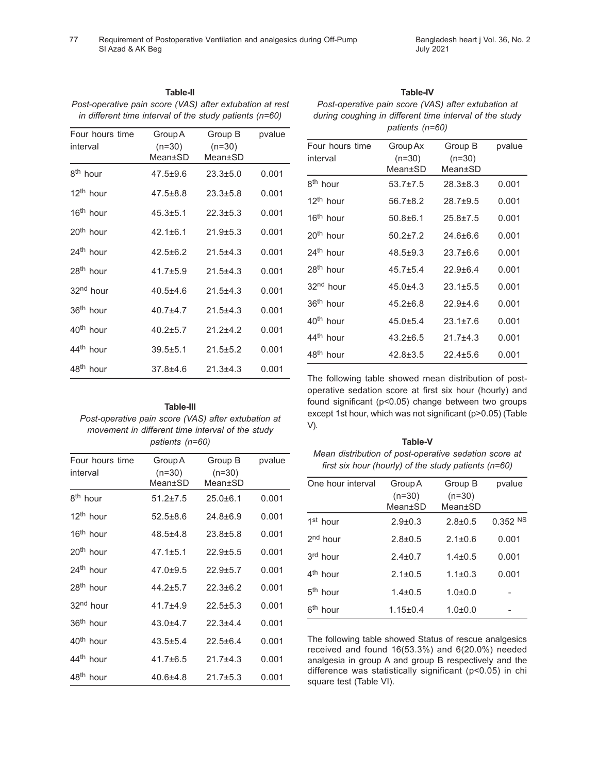| Post-operative pain score (VAS) after extubation at rest<br>in different time interval of the study patients (n=60) |                                |                                |        |  |
|---------------------------------------------------------------------------------------------------------------------|--------------------------------|--------------------------------|--------|--|
| Four hours time<br>interval                                                                                         | Group A<br>$(n=30)$<br>Mean±SD | Group B<br>$(n=30)$<br>Mean±SD | pvalue |  |
| 8 <sup>th</sup> hour                                                                                                | $47.5 \pm 9.6$                 | $23.3 + 5.0$                   | 0.001  |  |
| 12 <sup>th</sup> hour                                                                                               | $47.5 \pm 8.8$                 | $23.3 \pm 5.8$                 | 0.001  |  |
| 16 <sup>th</sup> hour                                                                                               | $45.3 \pm 5.1$                 | $22.3 + 5.3$                   | 0.001  |  |
| 20 <sup>th</sup> hour                                                                                               | $42.1 + 6.1$                   | $21.9 \pm 5.3$                 | 0.001  |  |
| 24 <sup>th</sup> hour                                                                                               | $42.5 + 6.2$                   | $21.5 + 4.3$                   | 0.001  |  |
| 28 <sup>th</sup> hour                                                                                               | $41.7 \pm 5.9$                 | $21.5 + 4.3$                   | 0.001  |  |
| 32 <sup>nd</sup> hour                                                                                               | $40.5 + 4.6$                   | $21.5 + 4.3$                   | 0.001  |  |
| 36 <sup>th</sup> hour                                                                                               | $40.7 + 4.7$                   | $21.5 + 4.3$                   | 0.001  |  |
| 40 <sup>th</sup> hour                                                                                               | $40.2 \pm 5.7$                 | $21.2 + 4.2$                   | 0.001  |  |
| 44 <sup>th</sup> hour                                                                                               | $39.5 + 5.1$                   | $21.5 \pm 5.2$                 | 0.001  |  |
| 48 <sup>th</sup> hour                                                                                               | $37.8 + 4.6$                   | $21.3 + 4.3$                   | 0.001  |  |

# **Table-II**

## **Table-III**

*Post-operative pain score (VAS) after extubation at movement in different time interval of the study patients (n=60)*

| Four hours time       | Group A        | Group B        | pvalue |
|-----------------------|----------------|----------------|--------|
| interval              | $(n=30)$       | $(n=30)$       |        |
|                       | Mean±SD        | Mean±SD        |        |
| 8 <sup>th</sup> hour  | $51.2 \pm 7.5$ | $25.0 + 6.1$   | 0.001  |
| 12 <sup>th</sup> hour | $52.5 \pm 8.6$ | $24.8 \pm 6.9$ | 0.001  |
| 16 <sup>th</sup> hour | $48.5 + 4.8$   | $23.8 + 5.8$   | 0.001  |
| 20 <sup>th</sup> hour | $47.1 + 5.1$   | $22.9 + 5.5$   | 0.001  |
| 24 <sup>th</sup> hour | $47.0 \pm 9.5$ | $22.9 + 5.7$   | 0.001  |
| 28 <sup>th</sup> hour | $44.2 \pm 5.7$ | $22.3 \pm 6.2$ | 0.001  |
| 32 <sup>nd</sup> hour | $41.7 + 4.9$   | $22.5 \pm 5.3$ | 0.001  |
| 36 <sup>th</sup> hour | $43.0 + 4.7$   | $22.3 + 4.4$   | 0.001  |
| 40 <sup>th</sup> hour | $43.5 + 5.4$   | $22.5 + 6.4$   | 0.001  |
| 44 <sup>th</sup> hour | $41.7\pm 6.5$  | $21.7 + 4.3$   | 0.001  |
| 48 <sup>th</sup> hour | $40.6 + 4.8$   | $21.7 \pm 5.3$ | 0.001  |

# **Table-IV**

*Post-operative pain score (VAS) after extubation at during coughing in different time interval of the study patients (n=60)*

| Four hours time       | Group Ax       | Group B        | pvalue |
|-----------------------|----------------|----------------|--------|
| interval              | $(n=30)$       | $(n=30)$       |        |
|                       | Mean±SD        | Mean±SD        |        |
| 8 <sup>th</sup> hour  | $53.7 \pm 7.5$ | $28.3 \pm 8.3$ | 0.001  |
| 12 <sup>th</sup> hour | $56.7\pm8.2$   | $28.7 \pm 9.5$ | 0.001  |
| 16 <sup>th</sup> hour | $50.8 + 6.1$   | $25.8 \pm 7.5$ | 0.001  |
| 20 <sup>th</sup> hour | $50.2 + 7.2$   | $24.6 + 6.6$   | 0.001  |
| 24 <sup>th</sup> hour | $48.5 \pm 9.3$ | $23.7 + 6.6$   | 0.001  |
| 28 <sup>th</sup> hour | $45.7 \pm 5.4$ | $22.9 + 6.4$   | 0.001  |
| 32 <sup>nd</sup> hour | $45.0 + 4.3$   | $23.1 \pm 5.5$ | 0.001  |
| 36 <sup>th</sup> hour | $45.2 \pm 6.8$ | $22.9 + 4.6$   | 0.001  |
| 40 <sup>th</sup> hour | $45.0 \pm 5.4$ | $23.1 \pm 7.6$ | 0.001  |
| 44 <sup>th</sup> hour | $43.2 \pm 6.5$ | $21.7 + 4.3$   | 0.001  |
| 48 <sup>th</sup> hour | $42.8 \pm 3.5$ | $22.4 \pm 5.6$ | 0.001  |

The following table showed mean distribution of postoperative sedation score at first six hour (hourly) and found significant (p<0.05) change between two groups except 1st hour, which was not significant (p>0.05) (Table V).

**Table-V** *Mean distribution of post-operative sedation score at first six hour (hourly) of the study patients (n=60)*

| One hour interval       | Group B<br>Group A<br>$(n=30)$<br>$(n=30)$<br>Mean±SD<br>Mean±SD |               | pvalue     |
|-------------------------|------------------------------------------------------------------|---------------|------------|
| 1 <sup>st</sup> hour    | $2.9 \pm 0.3$                                                    | $2.8 \pm 0.5$ | $0.352$ NS |
| 2 <sup>nd</sup> hour    | $2.8 \pm 0.5$                                                    | $2.1 \pm 0.6$ | 0.001      |
| 3 <sup>rd</sup> hour    | $2.4 \pm 0.7$                                                    | $1.4 \pm 0.5$ | 0.001      |
| 4 <sup>th</sup> hour    | $2.1 \pm 0.5$                                                    | $1.1 + 0.3$   | 0.001      |
| 5 <sup>th</sup> hour    | $1.4 \pm 0.5$                                                    | $1.0 + 0.0$   |            |
| 6 <sup>th</sup><br>hour | $1.15 \pm 0.4$                                                   | $1.0 + 0.0$   |            |

The following table showed Status of rescue analgesics received and found 16(53.3%) and 6(20.0%) needed analgesia in group A and group B respectively and the difference was statistically significant (p<0.05) in chi square test (Table VI).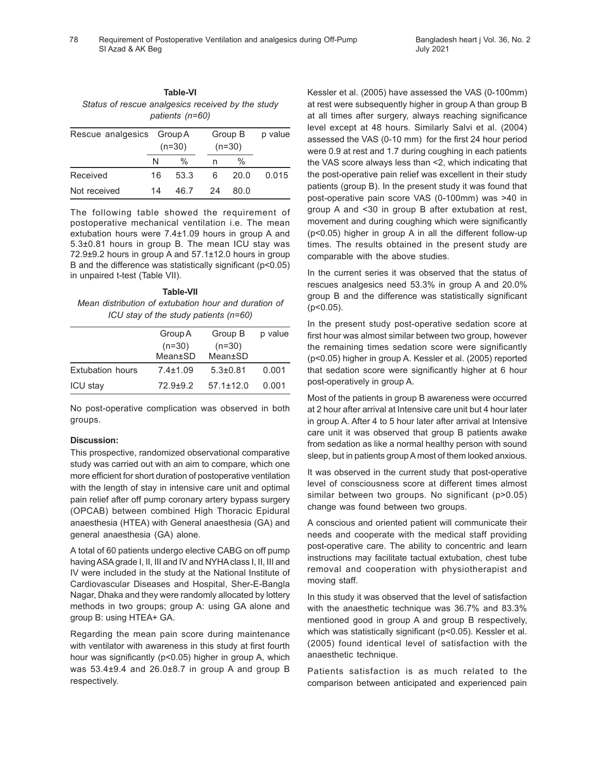| Table-VI |                                                   |  |  |
|----------|---------------------------------------------------|--|--|
|          | Status of rescue analgesics received by the study |  |  |
|          | patients (n=60)                                   |  |  |

| Rescue analgesics Group A | $(n=30)$ |               |    | Group B<br>$(n=30)$ | p value |
|---------------------------|----------|---------------|----|---------------------|---------|
|                           | N        | $\frac{0}{0}$ | n  | $\frac{0}{0}$       |         |
| Received                  | 16       | 53.3          | 6  | 20.0                | 0.015   |
| Not received              | 14       | 46.7          | 24 | 80.0                |         |

The following table showed the requirement of postoperative mechanical ventilation i.e. The mean extubation hours were 7.4±1.09 hours in group A and 5.3±0.81 hours in group B. The mean ICU stay was 72.9±9.2 hours in group A and 57.1±12.0 hours in group B and the difference was statistically significant (p<0.05) in unpaired t-test (Table VII).

**Table-VII** *Mean distribution of extubation hour and duration of ICU stay of the study patients (n=60)*

|                         | Group A        | Group B         | p value |
|-------------------------|----------------|-----------------|---------|
|                         | $(n=30)$       | $(n=30)$        |         |
|                         | Mean±SD        | Mean±SD         |         |
| <b>Extubation hours</b> | $7.4 \pm 1.09$ | $5.3 \pm 0.81$  | 0.001   |
| <b>ICU stay</b>         | $72.9 + 9.2$   | $57.1 \pm 12.0$ | 0.001   |

No post-operative complication was observed in both groups.

### **Discussion:**

This prospective, randomized observational comparative study was carried out with an aim to compare, which one more efficient for short duration of postoperative ventilation with the length of stay in intensive care unit and optimal pain relief after off pump coronary artery bypass surgery (OPCAB) between combined High Thoracic Epidural anaesthesia (HTEA) with General anaesthesia (GA) and general anaesthesia (GA) alone.

A total of 60 patients undergo elective CABG on off pump having ASA grade I, II, III and IV and NYHA class I, II, III and IV were included in the study at the National Institute of Cardiovascular Diseases and Hospital, Sher-E-Bangla Nagar, Dhaka and they were randomly allocated by lottery methods in two groups; group A: using GA alone and group B: using HTEA+ GA.

Regarding the mean pain score during maintenance with ventilator with awareness in this study at first fourth hour was significantly (p<0.05) higher in group A, which was 53.4±9.4 and 26.0±8.7 in group A and group B respectively.

Kessler et al. (2005) have assessed the VAS (0-100mm) at rest were subsequently higher in group A than group B at all times after surgery, always reaching significance level except at 48 hours. Similarly Salvi et al. (2004) assessed the VAS (0-10 mm) for the first 24 hour period were 0.9 at rest and 1.7 during coughing in each patients the VAS score always less than <2, which indicating that the post-operative pain relief was excellent in their study patients (group B). In the present study it was found that post-operative pain score VAS (0-100mm) was >40 in group A and <30 in group B after extubation at rest, movement and during coughing which were significantly (p<0.05) higher in group A in all the different follow-up times. The results obtained in the present study are comparable with the above studies.

In the current series it was observed that the status of rescues analgesics need 53.3% in group A and 20.0% group B and the difference was statistically significant (p<0.05).

In the present study post-operative sedation score at first hour was almost similar between two group, however the remaining times sedation score were significantly (p<0.05) higher in group A. Kessler et al. (2005) reported that sedation score were significantly higher at 6 hour post-operatively in group A.

Most of the patients in group B awareness were occurred at 2 hour after arrival at Intensive care unit but 4 hour later in group A. After 4 to 5 hour later after arrival at Intensive care unit it was observed that group B patients awake from sedation as like a normal healthy person with sound sleep, but in patients group A most of them looked anxious.

It was observed in the current study that post-operative level of consciousness score at different times almost similar between two groups. No significant (p>0.05) change was found between two groups.

A conscious and oriented patient will communicate their needs and cooperate with the medical staff providing post-operative care. The ability to concentric and learn instructions may facilitate tactual extubation, chest tube removal and cooperation with physiotherapist and moving staff.

In this study it was observed that the level of satisfaction with the anaesthetic technique was 36.7% and 83.3% mentioned good in group A and group B respectively, which was statistically significant (p<0.05). Kessler et al. (2005) found identical level of satisfaction with the anaesthetic technique.

Patients satisfaction is as much related to the comparison between anticipated and experienced pain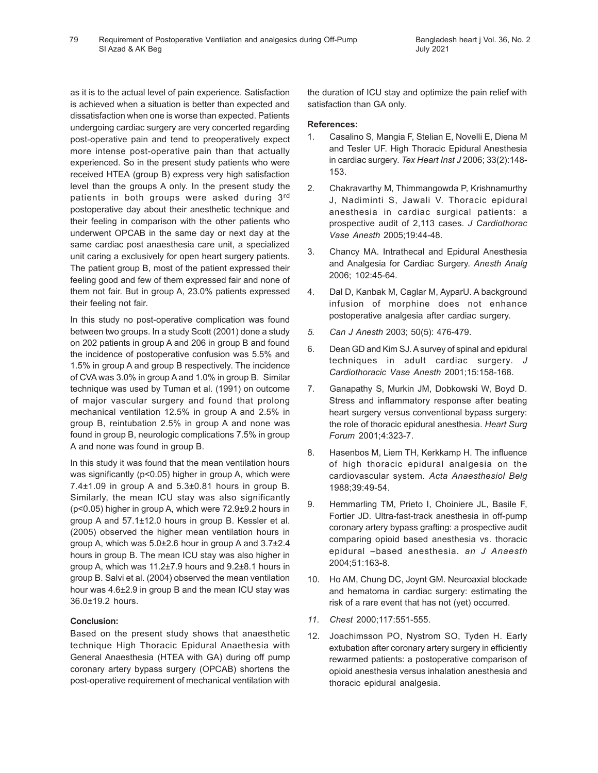as it is to the actual level of pain experience. Satisfaction is achieved when a situation is better than expected and dissatisfaction when one is worse than expected. Patients undergoing cardiac surgery are very concerted regarding post-operative pain and tend to preoperatively expect more intense post-operative pain than that actually experienced. So in the present study patients who were received HTEA (group B) express very high satisfaction level than the groups A only. In the present study the patients in both groups were asked during 3rd postoperative day about their anesthetic technique and their feeling in comparison with the other patients who underwent OPCAB in the same day or next day at the same cardiac post anaesthesia care unit, a specialized unit caring a exclusively for open heart surgery patients. The patient group B, most of the patient expressed their feeling good and few of them expressed fair and none of them not fair. But in group A, 23.0% patients expressed their feeling not fair.

In this study no post-operative complication was found between two groups. In a study Scott (2001) done a study on 202 patients in group A and 206 in group B and found the incidence of postoperative confusion was 5.5% and 1.5% in group A and group B respectively. The incidence of CVA was 3.0% in group A and 1.0% in group B. Similar technique was used by Tuman et al. (1991) on outcome of major vascular surgery and found that prolong mechanical ventilation 12.5% in group A and 2.5% in group B, reintubation 2.5% in group A and none was found in group B, neurologic complications 7.5% in group A and none was found in group B.

In this study it was found that the mean ventilation hours was significantly (p<0.05) higher in group A, which were 7.4±1.09 in group A and 5.3±0.81 hours in group B. Similarly, the mean ICU stay was also significantly (p<0.05) higher in group A, which were 72.9±9.2 hours in group A and 57.1±12.0 hours in group B. Kessler et al. (2005) observed the higher mean ventilation hours in group A, which was 5.0±2.6 hour in group A and 3.7±2.4 hours in group B. The mean ICU stay was also higher in group A, which was 11.2±7.9 hours and 9.2±8.1 hours in group B. Salvi et al. (2004) observed the mean ventilation hour was 4.6±2.9 in group B and the mean ICU stay was 36.0±19.2 hours.

# **Conclusion:**

Based on the present study shows that anaesthetic technique High Thoracic Epidural Anaethesia with General Anaesthesia (HTEA with GA) during off pump coronary artery bypass surgery (OPCAB) shortens the post-operative requirement of mechanical ventilation with

the duration of ICU stay and optimize the pain relief with satisfaction than GA only.

### **References:**

- 1. Casalino S, Mangia F, Stelian E, Novelli E, Diena M and Tesler UF. High Thoracic Epidural Anesthesia in cardiac surgery. *Tex Heart Inst J* 2006; 33(2):148- 153.
- 2. Chakravarthy M, Thimmangowda P, Krishnamurthy J, Nadiminti S, Jawali V. Thoracic epidural anesthesia in cardiac surgical patients: a prospective audit of 2,113 cases. *J Cardiothorac Vase Anesth* 2005;19:44-48.
- 3. Chancy MA. Intrathecal and Epidural Anesthesia and Analgesia for Cardiac Surgery. *Anesth Analg* 2006; 102:45-64.
- 4. Dal D, Kanbak M, Caglar M, AyparU. A background infusion of morphine does not enhance postoperative analgesia after cardiac surgery.
- *5. Can J Anesth* 2003; 50(5): 476-479.
- 6. Dean GD and Kim SJ. A survey of spinal and epidural techniques in adult cardiac surgery. *J Cardiothoracic Vase Anesth* 2001;15:158-168.
- 7. Ganapathy S, Murkin JM, Dobkowski W, Boyd D. Stress and inflammatory response after beating heart surgery versus conventional bypass surgery: the role of thoracic epidural anesthesia. *Heart Surg Forum* 2001;4:323-7.
- 8. Hasenbos M, Liem TH, Kerkkamp H. The influence of high thoracic epidural analgesia on the cardiovascular system. *Acta Anaesthesiol Belg* 1988;39:49-54.
- 9. Hemmarling TM, Prieto I, Choiniere JL, Basile F, Fortier JD. Ultra-fast-track anesthesia in off-pump coronary artery bypass grafting: a prospective audit comparing opioid based anesthesia vs. thoracic epidural –based anesthesia. *an J Anaesth* 2004;51:163-8.
- 10. Ho AM, Chung DC, Joynt GM. Neuroaxial blockade and hematoma in cardiac surgery: estimating the risk of a rare event that has not (yet) occurred.
- *11. Chest* 2000;117:551-555.
- 12. Joachimsson PO, Nystrom SO, Tyden H. Early extubation after coronary artery surgery in efficiently rewarmed patients: a postoperative comparison of opioid anesthesia versus inhalation anesthesia and thoracic epidural analgesia.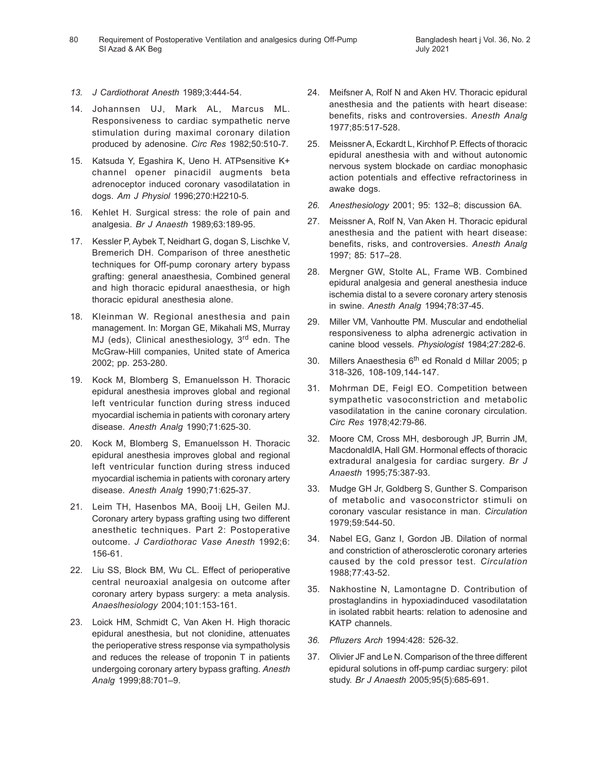Requirement of Postoperative Ventilation and analgesics during Off-Pump 80 Bangladesh heart j Vol. 36, No. 2 SI Azad & AK Beg

- *13. J Cardiothorat Anesth* 1989;3:444-54.
- 14. Johannsen UJ, Mark AL, Marcus ML. Responsiveness to cardiac sympathetic nerve stimulation during maximal coronary dilation produced by adenosine. *Circ Res* 1982;50:510-7.
- 15. Katsuda Y, Egashira K, Ueno H. ATPsensitive K+ channel opener pinacidil augments beta adrenoceptor induced coronary vasodilatation in dogs. *Am J Physiol* 1996;270:H2210-5.
- 16. Kehlet H. Surgical stress: the role of pain and analgesia. *Br J Anaesth* 1989;63:189-95.
- 17. Kessler P, Aybek T, Neidhart G, dogan S, Lischke V, Bremerich DH. Comparison of three anesthetic techniques for Off-pump coronary artery bypass grafting: general anaesthesia, Combined general and high thoracic epidural anaesthesia, or high thoracic epidural anesthesia alone.
- 18. Kleinman W. Regional anesthesia and pain management. In: Morgan GE, Mikahali MS, Murray MJ (eds), Clinical anesthesiology, 3<sup>rd</sup> edn. The McGraw-Hill companies, United state of America 2002; pp. 253-280.
- 19. Kock M, Blomberg S, Emanuelsson H. Thoracic epidural anesthesia improves global and regional left ventricular function during stress induced myocardial ischemia in patients with coronary artery disease. *Anesth Analg* 1990;71:625-30.
- 20. Kock M, Blomberg S, Emanuelsson H. Thoracic epidural anesthesia improves global and regional left ventricular function during stress induced myocardial ischemia in patients with coronary artery disease. *Anesth Analg* 1990;71:625-37.
- 21. Leim TH, Hasenbos MA, Booij LH, Geilen MJ. Coronary artery bypass grafting using two different anesthetic techniques. Part 2: Postoperative outcome. *J Cardiothorac Vase Anesth* 1992;6: 156-61.
- 22. Liu SS, Block BM, Wu CL. Effect of perioperative central neuroaxial analgesia on outcome after coronary artery bypass surgery: a meta analysis. *Anaeslhesiology* 2004;101:153-161.
- 23. Loick HM, Schmidt C, Van Aken H. High thoracic epidural anesthesia, but not clonidine, attenuates the perioperative stress response via sympatholysis and reduces the release of troponin T in patients undergoing coronary artery bypass grafting. *Anesth Analg* 1999;88:701–9.
- 24. Meifsner A, Rolf N and Aken HV. Thoracic epidural anesthesia and the patients with heart disease: benefits, risks and controversies. *Anesth Analg* 1977;85:517-528.
- 25. Meissner A, Eckardt L, Kirchhof P. Effects of thoracic epidural anesthesia with and without autonomic nervous system blockade on cardiac monophasic action potentials and effective refractoriness in awake dogs.
- *26. Anesthesiology* 2001; 95: 132–8; discussion 6A.
- 27. Meissner A, Rolf N, Van Aken H. Thoracic epidural anesthesia and the patient with heart disease: benefits, risks, and controversies. *Anesth Analg* 1997; 85: 517–28.
- 28. Mergner GW, Stolte AL, Frame WB. Combined epidural analgesia and general anesthesia induce ischemia distal to a severe coronary artery stenosis in swine. *Anesth Analg* 1994;78:37-45.
- 29. Miller VM, Vanhoutte PM. Muscular and endothelial responsiveness to alpha adrenergic activation in canine blood vessels. *Physiologist* 1984;27:282-6.
- 30. Millers Anaesthesia 6<sup>th</sup> ed Ronald d Millar 2005; p 318-326, 108-109,144-147.
- 31. Mohrman DE, Feigl EO. Competition between sympathetic vasoconstriction and metabolic vasodilatation in the canine coronary circulation. *Circ Res* 1978;42:79-86.
- 32. Moore CM, Cross MH, desborough JP, Burrin JM, MacdonaldIA, Hall GM. Hormonal effects of thoracic extradural analgesia for cardiac surgery. *Br J Anaesth* 1995;75:387-93.
- 33. Mudge GH Jr, Goldberg S, Gunther S. Comparison of metabolic and vasoconstrictor stimuli on coronary vascular resistance in man. *Circulation* 1979;59:544-50.
- 34. Nabel EG, Ganz I, Gordon JB. Dilation of normal and constriction of atherosclerotic coronary arteries caused by the cold pressor test. *Circulation* 1988;77:43-52.
- 35. Nakhostine N, Lamontagne D. Contribution of prostaglandins in hypoxiadinduced vasodilatation in isolated rabbit hearts: relation to adenosine and KATP channels.
- *36. Pfluzers Arch* 1994:428: 526-32.
- 37. Olivier JF and Le N. Comparison of the three different epidural solutions in off-pump cardiac surgery: pilot study. *Br J Anaesth* 2005;95(5):685-691.